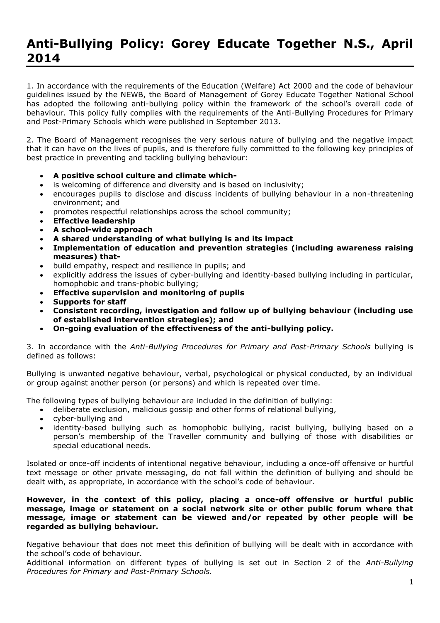# **Anti-Bullying Policy: Gorey Educate Together N.S., April 2014**

1. In accordance with the requirements of the Education (Welfare) Act 2000 and the code of behaviour guidelines issued by the NEWB, the Board of Management of Gorey Educate Together National School has adopted the following anti-bullying policy within the framework of the school's overall code of behaviour. This policy fully complies with the requirements of the Anti-Bullying Procedures for Primary and Post-Primary Schools which were published in September 2013.

2. The Board of Management recognises the very serious nature of bullying and the negative impact that it can have on the lives of pupils, and is therefore fully committed to the following key principles of best practice in preventing and tackling bullying behaviour:

- **A positive school culture and climate which-**
- is welcoming of difference and diversity and is based on inclusivity;
- encourages pupils to disclose and discuss incidents of bullying behaviour in a non-threatening environment; and
- promotes respectful relationships across the school community;
- **Effective leadership**
- **A school-wide approach**
- **A shared understanding of what bullying is and its impact**
- **Implementation of education and prevention strategies (including awareness raising measures) that-**
- build empathy, respect and resilience in pupils; and
- explicitly address the issues of cyber-bullying and identity-based bullying including in particular, homophobic and trans-phobic bullying;
- **Effective supervision and monitoring of pupils**
- **Supports for staff**
- **Consistent recording, investigation and follow up of bullying behaviour (including use of established intervention strategies); and**
- **On-going evaluation of the effectiveness of the anti-bullying policy.**

3. In accordance with the *Anti-Bullying Procedures for Primary and Post-Primary Schools* bullying is defined as follows:

Bullying is unwanted negative behaviour, verbal, psychological or physical conducted, by an individual or group against another person (or persons) and which is repeated over time.

The following types of bullying behaviour are included in the definition of bullying:

- deliberate exclusion, malicious gossip and other forms of relational bullying,
- cyber-bullying and
- identity-based bullying such as homophobic bullying, racist bullying, bullying based on a person's membership of the Traveller community and bullying of those with disabilities or special educational needs.

Isolated or once-off incidents of intentional negative behaviour, including a once-off offensive or hurtful text message or other private messaging, do not fall within the definition of bullying and should be dealt with, as appropriate, in accordance with the school's code of behaviour.

## **However, in the context of this policy, placing a once-off offensive or hurtful public message, image or statement on a social network site or other public forum where that message, image or statement can be viewed and/or repeated by other people will be regarded as bullying behaviour.**

Negative behaviour that does not meet this definition of bullying will be dealt with in accordance with the school's code of behaviour.

Additional information on different types of bullying is set out in Section 2 of the *Anti-Bullying Procedures for Primary and Post-Primary Schools.*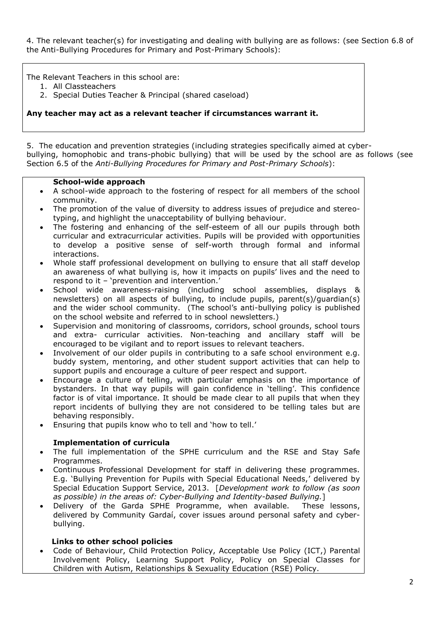4. The relevant teacher(s) for investigating and dealing with bullying are as follows: (see Section 6.8 of the Anti-Bullying Procedures for Primary and Post-Primary Schools):

The Relevant Teachers in this school are:

- 1. All Classteachers
- 2. Special Duties Teacher & Principal (shared caseload)

**Any teacher may act as a relevant teacher if circumstances warrant it.**

5. The education and prevention strategies (including strategies specifically aimed at cyberbullying, homophobic and trans-phobic bullying) that will be used by the school are as follows (see Section 6.5 of the *Anti-Bullying Procedures for Primary and Post-Primary Schools*):

## **School-wide approach**

- A school-wide approach to the fostering of respect for all members of the school community.
- The promotion of the value of diversity to address issues of prejudice and stereotyping, and highlight the unacceptability of bullying behaviour.
- The fostering and enhancing of the self-esteem of all our pupils through both curricular and extracurricular activities. Pupils will be provided with opportunities to develop a positive sense of self-worth through formal and informal interactions.
- Whole staff professional development on bullying to ensure that all staff develop an awareness of what bullying is, how it impacts on pupils' lives and the need to respond to it – 'prevention and intervention.'
- School wide awareness-raising (including school assemblies, displays & newsletters) on all aspects of bullying, to include pupils, parent(s)/guardian(s) and the wider school community. (The school's anti-bullying policy is published on the school website and referred to in school newsletters.)
- Supervision and monitoring of classrooms, corridors, school grounds, school tours and extra- curricular activities. Non-teaching and ancillary staff will be encouraged to be vigilant and to report issues to relevant teachers.
- Involvement of our older pupils in contributing to a safe school environment e.g. buddy system, mentoring, and other student support activities that can help to support pupils and encourage a culture of peer respect and support.
- Encourage a culture of telling, with particular emphasis on the importance of bystanders. In that way pupils will gain confidence in 'telling'. This confidence factor is of vital importance. It should be made clear to all pupils that when they report incidents of bullying they are not considered to be telling tales but are behaving responsibly.
- Ensuring that pupils know who to tell and 'how to tell.'

## **Implementation of curricula**

- The full implementation of the SPHE curriculum and the RSE and Stay Safe Programmes.
- Continuous Professional Development for staff in delivering these programmes. E.g. 'Bullying Prevention for Pupils with Special Educational Needs,' delivered by Special Education Support Service, 2013. [*Development work to follow (as soon as possible) in the areas of: Cyber-Bullying and Identity-based Bullying.*]
- Delivery of the Garda SPHE Programme, when available. These lessons, delivered by Community Gardaí, cover issues around personal safety and cyberbullying.

## **Links to other school policies**

 Code of Behaviour, Child Protection Policy, Acceptable Use Policy (ICT,) Parental Involvement Policy, Learning Support Policy, Policy on Special Classes for Children with Autism, Relationships & Sexuality Education (RSE) Policy.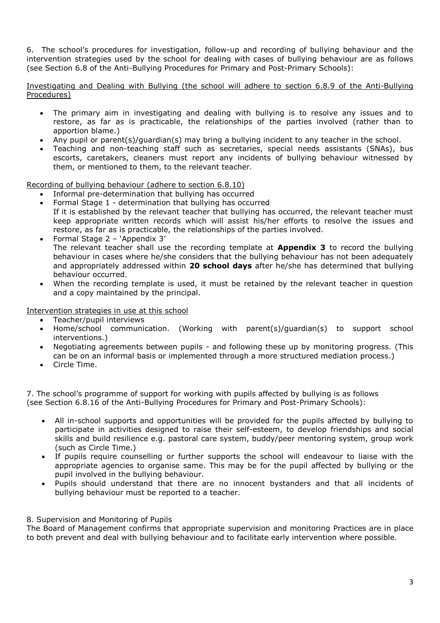6. The school's procedures for investigation, follow-up and recording of bullying behaviour and the intervention strategies used by the school for dealing with cases of bullying behaviour are as follows (see Section 6.8 of the Anti-Bullying Procedures for Primary and Post-Primary Schools):

Investigating and Dealing with Bullying (the school will adhere to section 6.8.9 of the Anti-Bullying Procedures)

- The primary aim in investigating and dealing with bullying is to resolve any issues and to restore, as far as is practicable, the relationships of the parties involved (rather than to apportion blame.)
- Any pupil or parent(s)/guardian(s) may bring a bullying incident to any teacher in the school.
- Teaching and non-teaching staff such as secretaries, special needs assistants (SNAs), bus escorts, caretakers, cleaners must report any incidents of bullying behaviour witnessed by them, or mentioned to them, to the relevant teacher.

Recording of bullying behaviour (adhere to section 6.8.10)

- Informal pre-determination that bullying has occurred
- Formal Stage 1 determination that bullying has occurred If it is established by the relevant teacher that bullying has occurred, the relevant teacher must keep appropriate written records which will assist his/her efforts to resolve the issues and restore, as far as is practicable, the relationships of the parties involved.
- Formal Stage 2 'Appendix 3' The relevant teacher shall use the recording template at **Appendix 3** to record the bullying behaviour in cases where he/she considers that the bullying behaviour has not been adequately and appropriately addressed within **20 school days** after he/she has determined that bullying behaviour occurred.
- When the recording template is used, it must be retained by the relevant teacher in question and a copy maintained by the principal.

Intervention strategies in use at this school

- Teacher/pupil interviews
- Home/school communication. (Working with parent(s)/guardian(s) to support school interventions.)
- Negotiating agreements between pupils and following these up by monitoring progress. (This can be on an informal basis or implemented through a more structured mediation process.)
- Circle Time.

7. The school's programme of support for working with pupils affected by bullying is as follows (see Section 6.8.16 of the Anti-Bullying Procedures for Primary and Post-Primary Schools):

- All in-school supports and opportunities will be provided for the pupils affected by bullying to participate in activities designed to raise their self-esteem, to develop friendships and social skills and build resilience e.g. pastoral care system, buddy/peer mentoring system, group work (such as Circle Time.)
- If pupils require counselling or further supports the school will endeavour to liaise with the appropriate agencies to organise same. This may be for the pupil affected by bullying or the pupil involved in the bullying behaviour.
- Pupils should understand that there are no innocent bystanders and that all incidents of bullying behaviour must be reported to a teacher.

## 8. Supervision and Monitoring of Pupils

The Board of Management confirms that appropriate supervision and monitoring Practices are in place to both prevent and deal with bullying behaviour and to facilitate early intervention where possible.